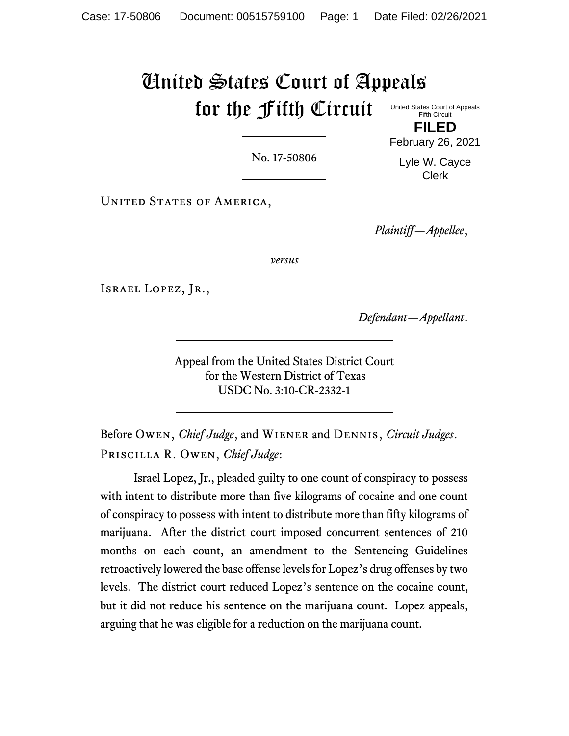# United States Court of Appeals for the Fifth Circuit United States Court of Appeals

Fifth Circuit **FILED**

No. 17-50806

Lyle W. Cayce Clerk

February 26, 2021

UNITED STATES OF AMERICA,

*Plaintiff—Appellee*,

*versus*

Israel Lopez, Jr.,

*Defendant—Appellant*.

Appeal from the United States District Court for the Western District of Texas USDC No. 3:10-CR-2332-1

Before Owen, *Chief Judge*, and Wiener and Dennis, *Circuit Judges*. Priscilla R. Owen, *Chief Judge*:

Israel Lopez, Jr., pleaded guilty to one count of conspiracy to possess with intent to distribute more than five kilograms of cocaine and one count of conspiracy to possess with intent to distribute more than fifty kilograms of marijuana. After the district court imposed concurrent sentences of 210 months on each count, an amendment to the Sentencing Guidelines retroactively lowered the base offense levels for Lopez's drug offenses by two levels. The district court reduced Lopez's sentence on the cocaine count, but it did not reduce his sentence on the marijuana count. Lopez appeals, arguing that he was eligible for a reduction on the marijuana count.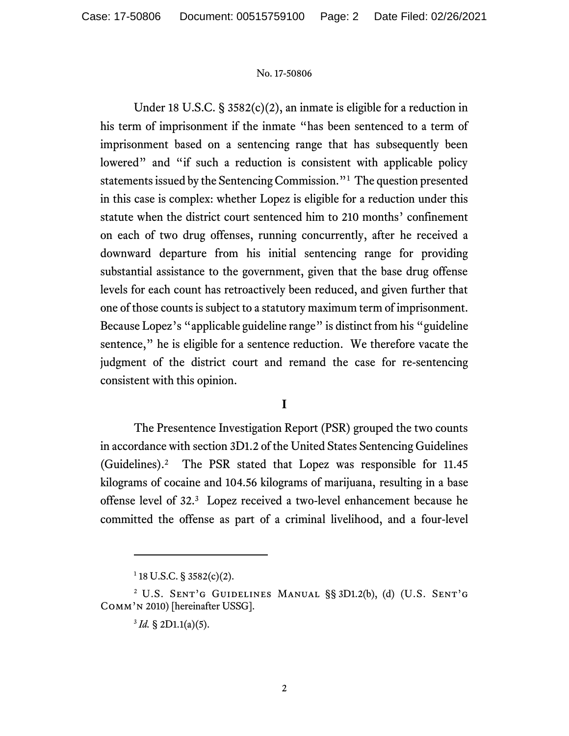Under 18 U.S.C. § 3582(c)(2), an inmate is eligible for a reduction in his term of imprisonment if the inmate "has been sentenced to a term of imprisonment based on a sentencing range that has subsequently been lowered" and "if such a reduction is consistent with applicable policy statements issued by the Sentencing Commission."<sup>1</sup> The question presented in this case is complex: whether Lopez is eligible for a reduction under this statute when the district court sentenced him to 210 months' confinement on each of two drug offenses, running concurrently, after he received a downward departure from his initial sentencing range for providing substantial assistance to the government, given that the base drug offense levels for each count has retroactively been reduced, and given further that one of those counts is subject to a statutory maximum term of imprisonment. Because Lopez's "applicable guideline range" is distinct from his "guideline" sentence," he is eligible for a sentence reduction. We therefore vacate the judgment of the district court and remand the case for re-sentencing consistent with this opinion.

# **I**

The Presentence Investigation Report (PSR) grouped the two counts in accordance with section 3D1.2 of the United States Sentencing Guidelines (Guidelines).<sup>2</sup> The PSR stated that Lopez was responsible for 11.45 kilograms of cocaine and 104.56 kilograms of marijuana, resulting in a base offense level of 32.<sup>3</sup> Lopez received a two-level enhancement because he committed the offense as part of a criminal livelihood, and a four-level

 $1$  18 U.S.C. § 3582(c)(2).

<sup>2</sup> U.S. Sent'g Guidelines Manual §§ 3D1.2(b), (d) (U.S. Sent'g Comm'n 2010) [hereinafter USSG].

 $3^3$  *Id.* § 2D1.1(a)(5).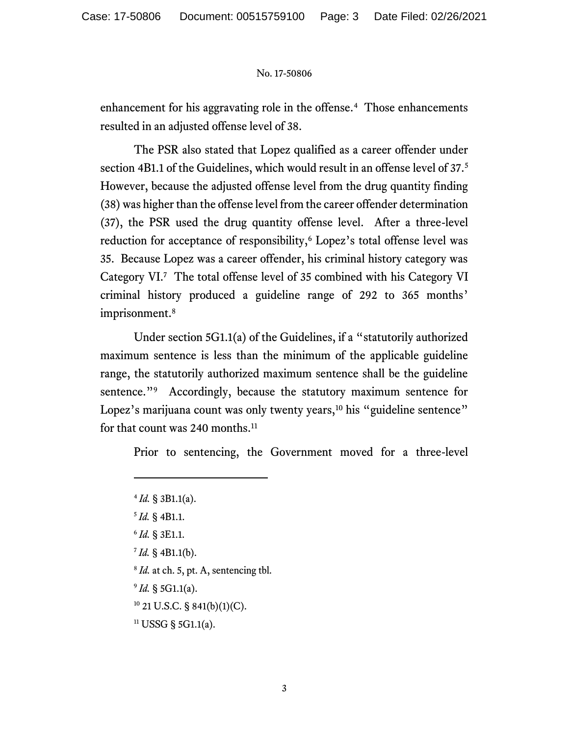enhancement for his aggravating role in the offense.<sup>4</sup> Those enhancements resulted in an adjusted offense level of 38.

The PSR also stated that Lopez qualified as a career offender under section 4B1.1 of the Guidelines, which would result in an offense level of 37.<sup>5</sup> However, because the adjusted offense level from the drug quantity finding (38) was higher than the offense level from the career offender determination (37), the PSR used the drug quantity offense level. After a three-level reduction for acceptance of responsibility,<sup>6</sup> Lopez's total offense level was 35. Because Lopez was a career offender, his criminal history category was Category VI.<sup>7</sup> The total offense level of 35 combined with his Category VI criminal history produced a guideline range of 292 to 365 months' imprisonment.<sup>8</sup>

Under section 5G1.1(a) of the Guidelines, if a "statutorily authorized maximum sentence is less than the minimum of the applicable guideline range, the statutorily authorized maximum sentence shall be the guideline sentence."<sup>9</sup> Accordingly, because the statutory maximum sentence for Lopez's marijuana count was only twenty years,<sup>10</sup> his "guideline sentence" for that count was 240 months.<sup>11</sup>

Prior to sentencing, the Government moved for a three-level

- 6 *Id.* § 3E1.1.
- 7 *Id.* § 4B1.1(b).
- <sup>8</sup> *Id.* at ch. 5, pt. A, sentencing tbl.
- 9 *Id.* § 5G1.1(a).
- <sup>10</sup> 21 U.S.C. § 841(b)(1)(C).
- $11$  USSG § 5G1.1(a).

<sup>4</sup> *Id.* § 3B1.1(a). 5 *Id.* § 4B1.1.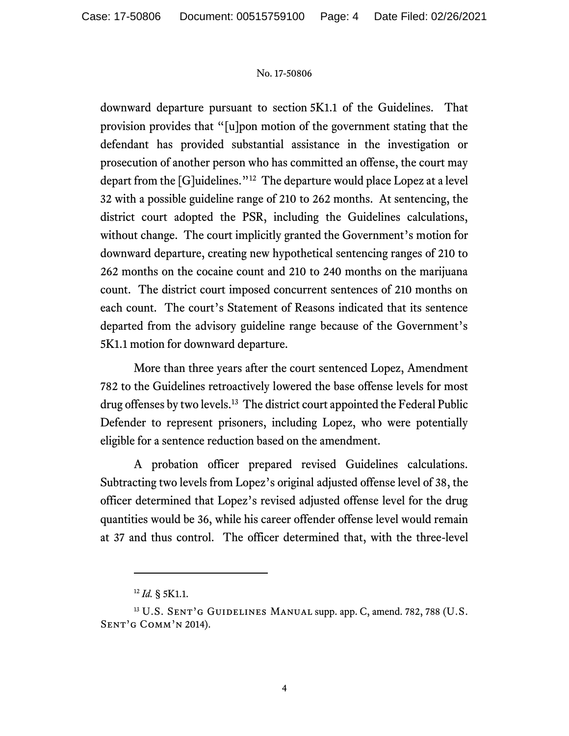downward departure pursuant to section 5K1.1 of the Guidelines. That provision provides that "[u]pon motion of the government stating that the defendant has provided substantial assistance in the investigation or prosecution of another person who has committed an offense, the court may depart from the [G]uidelines."<sup>12</sup> The departure would place Lopez at a level 32 with a possible guideline range of 210 to 262 months. At sentencing, the district court adopted the PSR, including the Guidelines calculations, without change. The court implicitly granted the Government's motion for downward departure, creating new hypothetical sentencing ranges of 210 to 262 months on the cocaine count and 210 to 240 months on the marijuana count. The district court imposed concurrent sentences of 210 months on each count. The court's Statement of Reasons indicated that its sentence departed from the advisory guideline range because of the Government's 5K1.1 motion for downward departure.

More than three years after the court sentenced Lopez, Amendment 782 to the Guidelines retroactively lowered the base offense levels for most drug offenses by two levels.<sup>13</sup> The district court appointed the Federal Public Defender to represent prisoners, including Lopez, who were potentially eligible for a sentence reduction based on the amendment.

A probation officer prepared revised Guidelines calculations. Subtracting two levels from Lopez's original adjusted offense level of 38, the officer determined that Lopez's revised adjusted offense level for the drug quantities would be 36, while his career offender offense level would remain at 37 and thus control. The officer determined that, with the three-level

<sup>12</sup> *Id.* § 5K1.1.

<sup>&</sup>lt;sup>13</sup> U.S. SENT'G GUIDELINES MANUAL supp. app. C, amend. 782, 788 (U.S. Sent'g Comm'n 2014).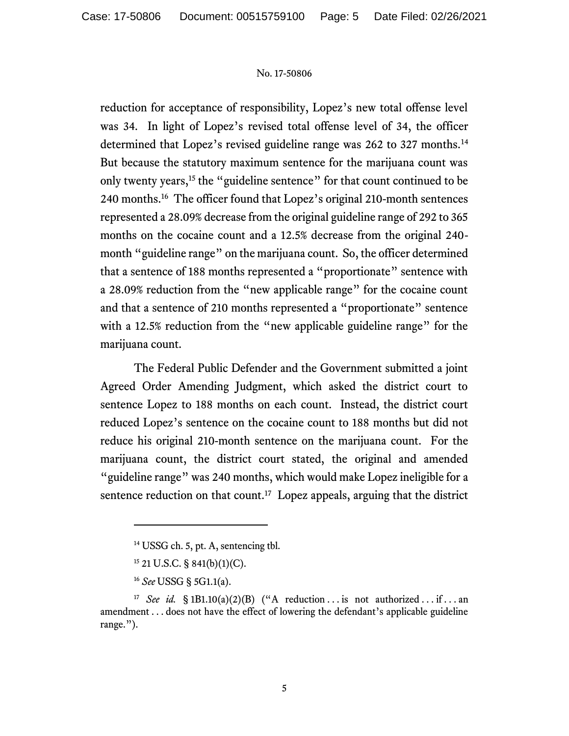reduction for acceptance of responsibility, Lopez's new total offense level was 34. In light of Lopez's revised total offense level of 34, the officer determined that Lopez's revised guideline range was 262 to 327 months.<sup>14</sup> But because the statutory maximum sentence for the marijuana count was only twenty years,<sup>15</sup> the "guideline sentence" for that count continued to be 240 months.<sup>16</sup> The officer found that Lopez's original 210-month sentences represented a 28.09% decrease from the original guideline range of 292 to 365 months on the cocaine count and a 12.5% decrease from the original 240 month "guideline range" on the marijuana count. So, the officer determined that a sentence of 188 months represented a "proportionate" sentence with a 28.09% reduction from the "new applicable range" for the cocaine count and that a sentence of 210 months represented a "proportionate" sentence with a 12.5% reduction from the "new applicable guideline range" for the marijuana count.

The Federal Public Defender and the Government submitted a joint Agreed Order Amending Judgment, which asked the district court to sentence Lopez to 188 months on each count. Instead, the district court reduced Lopez's sentence on the cocaine count to 188 months but did not reduce his original 210-month sentence on the marijuana count. For the marijuana count, the district court stated, the original and amended "guideline range" was 240 months, which would make Lopez ineligible for a sentence reduction on that count.<sup>17</sup> Lopez appeals, arguing that the district

<sup>&</sup>lt;sup>14</sup> USSG ch. 5, pt. A, sentencing tbl.

<sup>15</sup> 21 U.S.C. § 841(b)(1)(C).

<sup>16</sup> *See* USSG § 5G1.1(a).

<sup>&</sup>lt;sup>17</sup> *See id.* § 1B1.10(a)(2)(B) ("A reduction ... is not authorized ... if ... an amendment . . . does not have the effect of lowering the defendant's applicable guideline range.").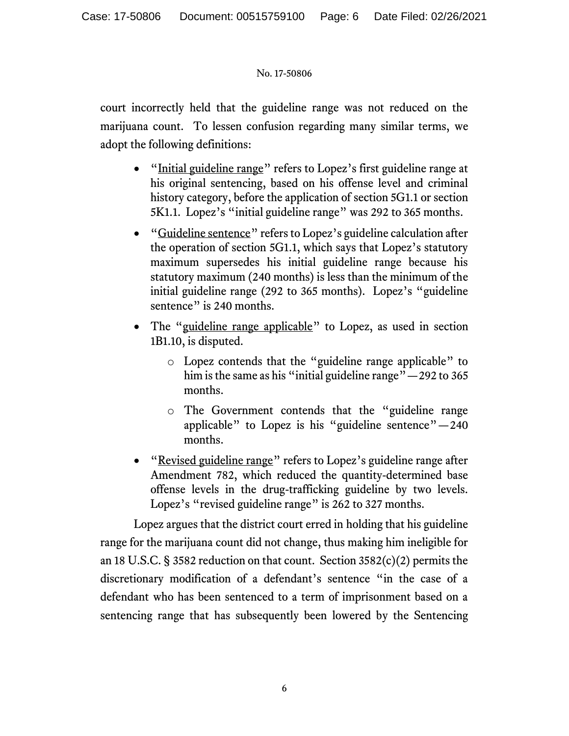court incorrectly held that the guideline range was not reduced on the marijuana count. To lessen confusion regarding many similar terms, we adopt the following definitions:

- "Initial guideline range" refers to Lopez's first guideline range at his original sentencing, based on his offense level and criminal history category, before the application of section 5G1.1 or section 5K1.1. Lopez's "initial guideline range" was 292 to 365 months.
- "Guideline sentence" refers to Lopez's guideline calculation after the operation of section 5G1.1, which says that Lopez's statutory maximum supersedes his initial guideline range because his statutory maximum (240 months) is less than the minimum of the initial guideline range (292 to 365 months). Lopez's "guideline sentence" is 240 months.
- The "guideline range applicable" to Lopez, as used in section 1B1.10, is disputed.
	- o Lopez contends that the "guideline range applicable" to him is the same as his "initial guideline range" — 292 to 365 months.
	- o The Government contends that the "guideline range applicable" to Lopez is his "guideline sentence" $-240$ months.
- "Revised guideline range" refers to Lopez's guideline range after Amendment 782, which reduced the quantity-determined base offense levels in the drug-trafficking guideline by two levels. Lopez's "revised guideline range" is 262 to 327 months.

Lopez argues that the district court erred in holding that his guideline range for the marijuana count did not change, thus making him ineligible for an 18 U.S.C. § 3582 reduction on that count. Section 3582(c)(2) permits the discretionary modification of a defendant's sentence "in the case of a defendant who has been sentenced to a term of imprisonment based on a sentencing range that has subsequently been lowered by the Sentencing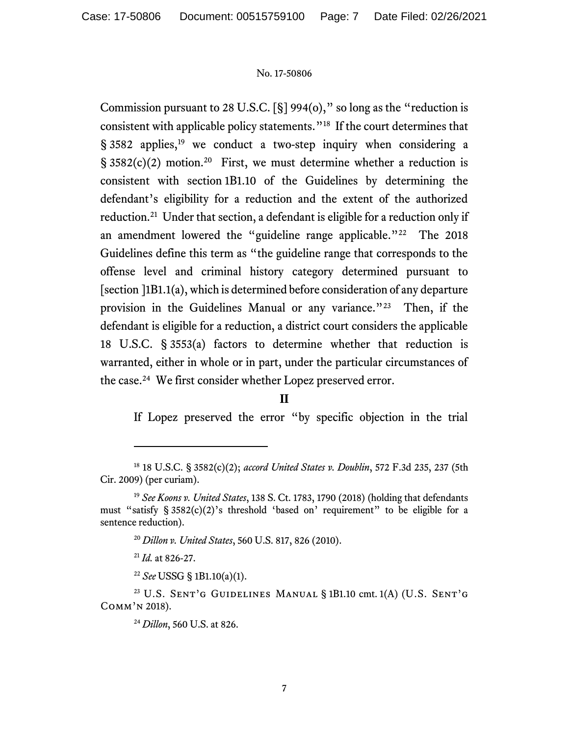Commission pursuant to 28 U.S.C. [§] 994(o)," so long as the "reduction is consistent with applicable policy statements."<sup>18</sup> If the court determines that § 3582 applies,<sup>19</sup> we conduct a two-step inquiry when considering a  $\S$  3582(c)(2) motion.<sup>20</sup> First, we must determine whether a reduction is consistent with section 1B1.10 of the Guidelines by determining the defendant's eligibility for a reduction and the extent of the authorized reduction.<sup>21</sup> Under that section, a defendant is eligible for a reduction only if an amendment lowered the "guideline range applicable."<sup>22</sup> The 2018 Guidelines define this term as "the guideline range that corresponds to the offense level and criminal history category determined pursuant to [section ]1B1.1(a), which is determined before consideration of any departure provision in the Guidelines Manual or any variance."<sup>23</sup> Then, if the defendant is eligible for a reduction, a district court considers the applicable 18 U.S.C. § 3553(a) factors to determine whether that reduction is warranted, either in whole or in part, under the particular circumstances of the case.<sup>24</sup> We first consider whether Lopez preserved error.

If Lopez preserved the error "by specific objection in the trial

**II**

<sup>18</sup> 18 U.S.C. § 3582(c)(2); *accord United States v. Doublin*, 572 F.3d 235, 237 (5th Cir. 2009) (per curiam).

<sup>19</sup> *See Koons v. United States*, 138 S. Ct. 1783, 1790 (2018) (holding that defendants must "satisfy § 3582(c)(2)'s threshold 'based on' requirement" to be eligible for a sentence reduction).

<sup>20</sup> *Dillon v. United States*, 560 U.S. 817, 826 (2010).

<sup>21</sup> *Id.* at 826-27.

<sup>22</sup> *See* USSG § 1B1.10(a)(1).

<sup>&</sup>lt;sup>23</sup> U.S. SENT'G GUIDELINES MANUAL § 1B1.10 cmt. 1(A) (U.S. SENT'G Comm'n 2018).

<sup>24</sup> *Dillon*, 560 U.S. at 826.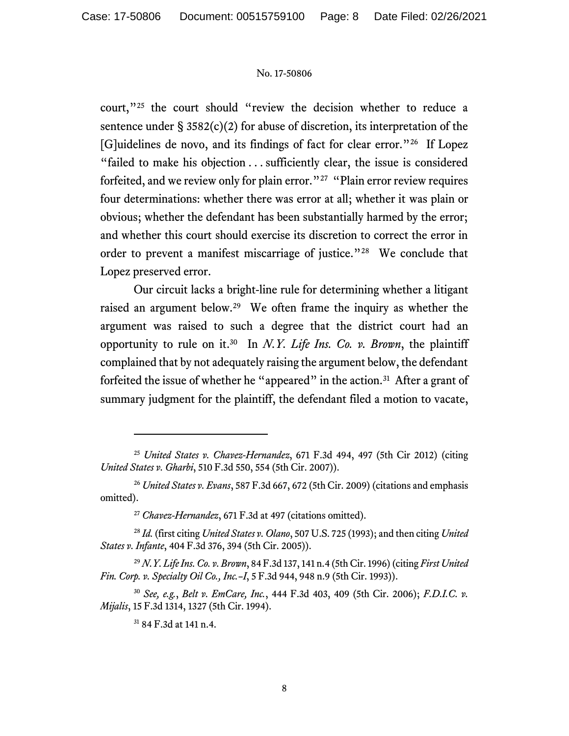court,"<sup>25</sup> the court should "review the decision whether to reduce a sentence under  $\S 3582(c)(2)$  for abuse of discretion, its interpretation of the [G]uidelines de novo, and its findings of fact for clear error."<sup>26</sup> If Lopez "failed to make his objection . . . sufficiently clear, the issue is considered forfeited, and we review only for plain error."<sup>27</sup> "Plain error review requires four determinations: whether there was error at all; whether it was plain or obvious; whether the defendant has been substantially harmed by the error; and whether this court should exercise its discretion to correct the error in order to prevent a manifest miscarriage of justice."<sup>28</sup> We conclude that Lopez preserved error.

Our circuit lacks a bright-line rule for determining whether a litigant raised an argument below.<sup>29</sup> We often frame the inquiry as whether the argument was raised to such a degree that the district court had an opportunity to rule on it. 30 In *N.Y. Life Ins. Co. v. Brown*, the plaintiff complained that by not adequately raising the argument below, the defendant forfeited the issue of whether he "appeared" in the action.<sup>31</sup> After a grant of summary judgment for the plaintiff, the defendant filed a motion to vacate,

<sup>29</sup> *N.Y. Life Ins. Co. v. Brown*, 84 F.3d 137, 141 n.4 (5th Cir. 1996)(citing *First United Fin. Corp. v. Specialty Oil Co., Inc.–I*, 5 F.3d 944, 948 n.9 (5th Cir. 1993)).

<sup>30</sup> *See, e.g.*, *Belt v. EmCare, Inc.*, 444 F.3d 403, 409 (5th Cir. 2006); *F.D.I.C. v. Mijalis*, 15 F.3d 1314, 1327 (5th Cir. 1994).

<sup>25</sup> *United States v. Chavez-Hernandez*, 671 F.3d 494, 497 (5th Cir 2012) (citing *United States v. Gharbi*, 510 F.3d 550, 554 (5th Cir. 2007)).

<sup>26</sup> *United States v. Evans*, 587 F.3d 667, 672 (5th Cir. 2009) (citations and emphasis omitted).

<sup>27</sup> *Chavez-Hernandez*, 671 F.3d at 497 (citations omitted).

<sup>28</sup> *Id.* (first citing *United States v. Olano*, 507 U.S. 725 (1993); and then citing *United States v. Infante*, 404 F.3d 376, 394 (5th Cir. 2005)).

<sup>31</sup> 84 F.3d at 141 n.4.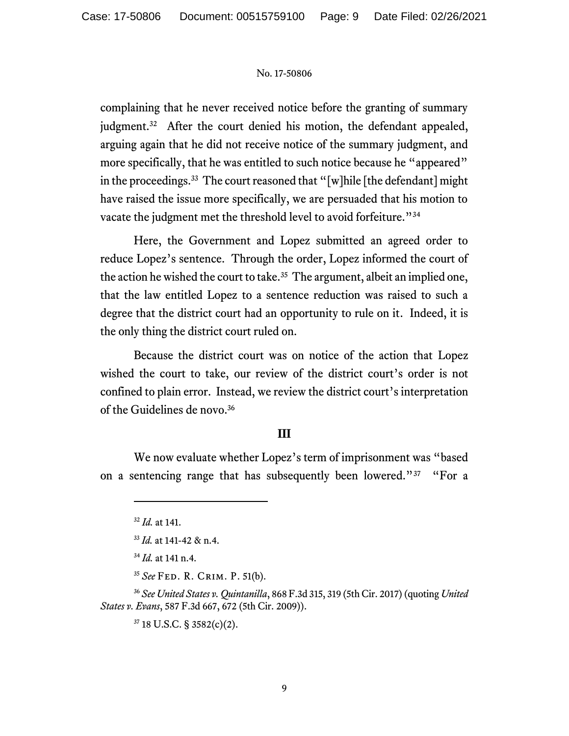complaining that he never received notice before the granting of summary judgment.<sup>32</sup> After the court denied his motion, the defendant appealed, arguing again that he did not receive notice of the summary judgment, and more specifically, that he was entitled to such notice because he "appeared" in the proceedings.<sup>33</sup> The court reasoned that "[w]hile [the defendant] might have raised the issue more specifically, we are persuaded that his motion to vacate the judgment met the threshold level to avoid forfeiture."<sup>34</sup>

Here, the Government and Lopez submitted an agreed order to reduce Lopez's sentence. Through the order, Lopez informed the court of the action he wished the court to take.<sup>35</sup> The argument, albeit an implied one, that the law entitled Lopez to a sentence reduction was raised to such a degree that the district court had an opportunity to rule on it. Indeed, it is the only thing the district court ruled on.

Because the district court was on notice of the action that Lopez wished the court to take, our review of the district court's order is not confined to plain error. Instead, we review the district court's interpretation of the Guidelines de novo.<sup>36</sup>

# **III**

We now evaluate whether Lopez's term of imprisonment was "based on a sentencing range that has subsequently been lowered."<sup>37</sup> "For a

<sup>35</sup> *See* Fed. R. Crim. P. 51(b).

<sup>36</sup> *See United States v. Quintanilla*, 868 F.3d 315, 319 (5th Cir. 2017) (quoting *United States v. Evans*, 587 F.3d 667, 672 (5th Cir. 2009)).

<sup>37</sup> 18 U.S.C. § 3582(c)(2).

<sup>32</sup> *Id.* at 141.

<sup>33</sup> *Id.* at 141-42 & n.4.

<sup>34</sup> *Id.* at 141 n.4.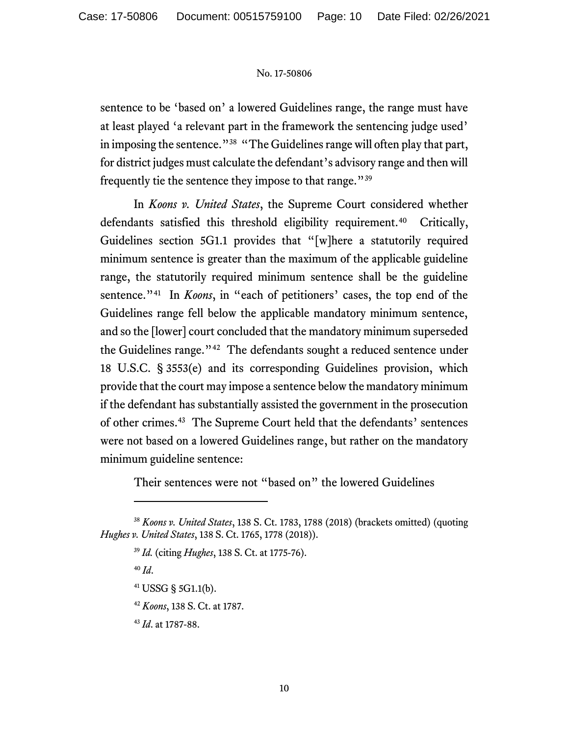sentence to be 'based on' a lowered Guidelines range, the range must have at least played 'a relevant part in the framework the sentencing judge used' in imposing the sentence."<sup>38</sup> "The Guidelines range will often play that part, for district judges must calculate the defendant's advisory range and then will frequently tie the sentence they impose to that range."<sup>39</sup>

In *Koons v. United States*, the Supreme Court considered whether defendants satisfied this threshold eligibility requirement.<sup>40</sup> Critically, Guidelines section 5G1.1 provides that "[w]here a statutorily required minimum sentence is greater than the maximum of the applicable guideline range, the statutorily required minimum sentence shall be the guideline sentence."<sup>41</sup> In *Koons*, in "each of petitioners' cases, the top end of the Guidelines range fell below the applicable mandatory minimum sentence, and so the [lower] court concluded that the mandatory minimum superseded the Guidelines range."<sup>42</sup> The defendants sought a reduced sentence under 18 U.S.C. § 3553(e) and its corresponding Guidelines provision, which provide that the court may impose a sentence below the mandatory minimum if the defendant has substantially assisted the government in the prosecution of other crimes.<sup>43</sup> The Supreme Court held that the defendants' sentences were not based on a lowered Guidelines range, but rather on the mandatory minimum guideline sentence:

Their sentences were not "based on" the lowered Guidelines

<sup>40</sup> *Id*.

- <sup>41</sup> USSG § 5G1.1(b).
- <sup>42</sup> *Koons*, 138 S. Ct. at 1787.
- <sup>43</sup> *Id*. at 1787-88.

<sup>38</sup> *Koons v. United States*, 138 S. Ct. 1783, 1788 (2018) (brackets omitted) (quoting *Hughes v. United States*, 138 S. Ct. 1765, 1778 (2018)).

<sup>39</sup> *Id.* (citing *Hughes*, 138 S. Ct. at 1775-76).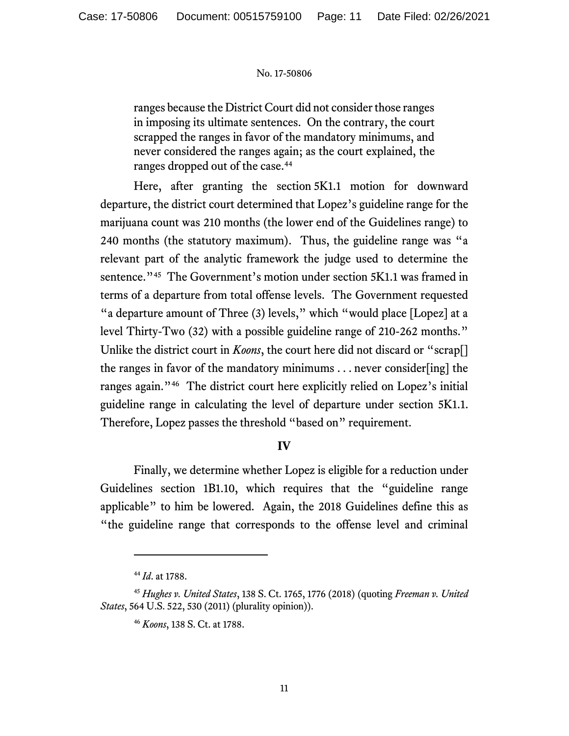ranges because the District Court did not consider those ranges in imposing its ultimate sentences. On the contrary, the court scrapped the ranges in favor of the mandatory minimums, and never considered the ranges again; as the court explained, the ranges dropped out of the case.<sup>44</sup>

Here, after granting the section 5K1.1 motion for downward departure, the district court determined that Lopez's guideline range for the marijuana count was 210 months (the lower end of the Guidelines range) to 240 months (the statutory maximum). Thus, the guideline range was "a relevant part of the analytic framework the judge used to determine the sentence."<sup>45</sup> The Government's motion under section 5K1.1 was framed in terms of a departure from total offense levels. The Government requested "a departure amount of Three (3) levels," which "would place [Lopez] at a level Thirty-Two (32) with a possible guideline range of 210-262 months." Unlike the district court in *Koons*, the court here did not discard or "scrap<sup>[]</sup> the ranges in favor of the mandatory minimums . . . never consider[ing] the ranges again."<sup>46</sup> The district court here explicitly relied on Lopez's initial guideline range in calculating the level of departure under section 5K1.1. Therefore, Lopez passes the threshold "based on" requirement.

# **IV**

Finally, we determine whether Lopez is eligible for a reduction under Guidelines section 1B1.10, which requires that the "guideline range applicable" to him be lowered. Again, the 2018 Guidelines define this as "the guideline range that corresponds to the offense level and criminal

<sup>44</sup> *Id*. at 1788.

<sup>45</sup> *Hughes v. United States*, 138 S. Ct. 1765, 1776 (2018) (quoting *Freeman v. United States*, 564 U.S. 522, 530 (2011) (plurality opinion)).

<sup>46</sup> *Koons*, 138 S. Ct. at 1788.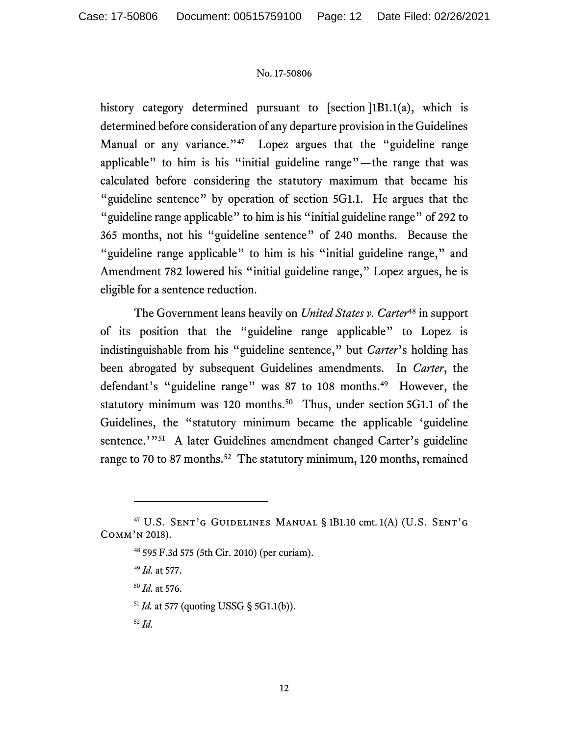history category determined pursuant to [section ]1B1.1(a), which is determined before consideration of any departure provision in the Guidelines Manual or any variance."<sup>47</sup> Lopez argues that the "guideline range applicable" to him is his "initial guideline range"—the range that was calculated before considering the statutory maximum that became his "guideline sentence" by operation of section 5G1.1. He argues that the "guideline range applicable" to him is his "initial guideline range" of 292 to 365 months, not his "guideline sentence" of 240 months. Because the "guideline range applicable" to him is his "initial guideline range," and Amendment 782 lowered his "initial guideline range," Lopez argues, he is eligible for a sentence reduction.

The Government leans heavily on *United States v. Carter*<sup>48</sup> in support of its position that the "guideline range applicable" to Lopez is indistinguishable from his "guideline sentence," but *Carter*'s holding has been abrogated by subsequent Guidelines amendments. In *Carter*, the defendant's "guideline range" was 87 to 108 months.<sup>49</sup> However, the statutory minimum was 120 months.<sup>50</sup> Thus, under section 5G1.1 of the Guidelines, the "statutory minimum became the applicable 'guideline sentence.'"<sup>51</sup> A later Guidelines amendment changed Carter's guideline range to 70 to 87 months.<sup>52</sup> The statutory minimum, 120 months, remained

<sup>47</sup> U.S. Sent'g Guidelines Manual § 1B1.10 cmt. 1(A) (U.S. Sent'g Comm'n 2018).

<sup>48</sup> 595 F.3d 575 (5th Cir. 2010) (per curiam).

<sup>49</sup> *Id.* at 577.

<sup>50</sup> *Id.* at 576.

<sup>51</sup> *Id.* at 577 (quoting USSG § 5G1.1(b)).

<sup>52</sup> *Id.*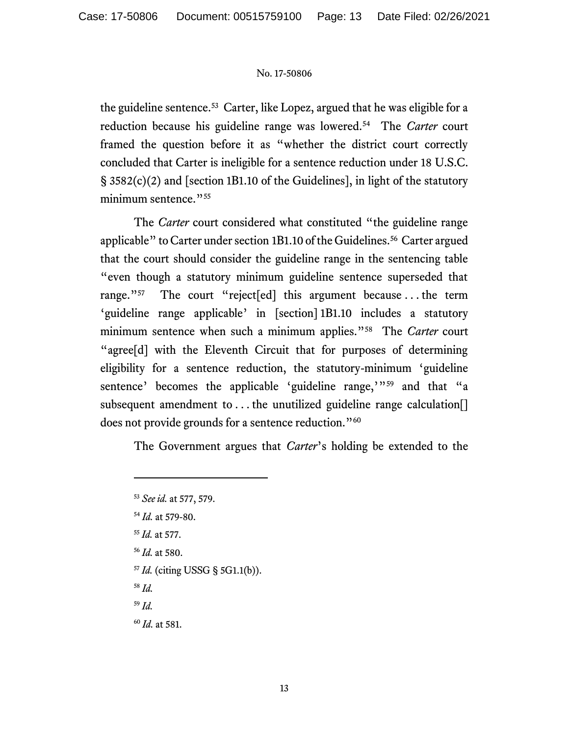the guideline sentence.<sup>53</sup> Carter, like Lopez, argued that he was eligible for a reduction because his guideline range was lowered.<sup>54</sup> The *Carter* court framed the question before it as "whether the district court correctly concluded that Carter is ineligible for a sentence reduction under 18 U.S.C. § 3582(c)(2) and [section 1B1.10 of the Guidelines], in light of the statutory minimum sentence."<sup>55</sup>

The *Carter* court considered what constituted "the guideline range applicable" to Carter under section 1B1.10 of the Guidelines.<sup>56</sup> Carter argued that the court should consider the guideline range in the sentencing table "even though a statutory minimum guideline sentence superseded that range." $57$ The court "reject[ed] this argument because ... the term 'guideline range applicable' in [section] 1B1.10 includes a statutory minimum sentence when such a minimum applies."<sup>58</sup> The *Carter* court "agree[d] with the Eleventh Circuit that for purposes of determining eligibility for a sentence reduction, the statutory-minimum 'guideline sentence' becomes the applicable 'guideline range,'"<sup>59</sup> and that "a subsequent amendment to ... the unutilized guideline range calculation. does not provide grounds for a sentence reduction."<sup>60</sup>

The Government argues that *Carter*'s holding be extended to the

- <sup>59</sup> *Id.*
- <sup>60</sup> *Id.* at 581.

<sup>53</sup> *See id.* at 577, 579. <sup>54</sup> *Id.* at 579-80. <sup>55</sup> *Id.* at 577. <sup>56</sup> *Id.* at 580. <sup>57</sup> *Id.* (citing USSG § 5G1.1(b)). <sup>58</sup> *Id.*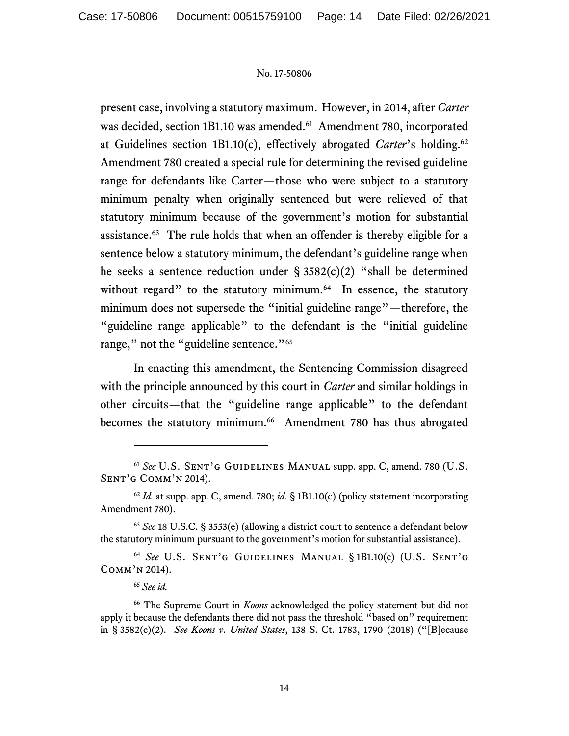present case, involving a statutory maximum.However, in 2014, after *Carter* was decided, section 1B1.10 was amended.<sup>61</sup> Amendment 780, incorporated at Guidelines section 1B1.10(c), effectively abrogated *Carter*'s holding. 62 Amendment 780 created a special rule for determining the revised guideline range for defendants like Carter—those who were subject to a statutory minimum penalty when originally sentenced but were relieved of that statutory minimum because of the government's motion for substantial assistance.<sup>63</sup> The rule holds that when an offender is thereby eligible for a sentence below a statutory minimum, the defendant's guideline range when he seeks a sentence reduction under § 3582(c)(2) "shall be determined without regard" to the statutory minimum.<sup>64</sup> In essence, the statutory minimum does not supersede the "initial guideline range"—therefore, the "guideline range applicable" to the defendant is the "initial guideline range," not the "guideline sentence."<sup>65</sup>

In enacting this amendment, the Sentencing Commission disagreed with the principle announced by this court in *Carter* and similar holdings in other circuits—that the "guideline range applicable" to the defendant becomes the statutory minimum.<sup>66</sup> Amendment 780 has thus abrogated

<sup>&</sup>lt;sup>61</sup> See U.S. SENT'G GUIDELINES MANUAL supp. app. C, amend. 780 (U.S. Sent'g Comm'n 2014).

 $62$  *Id.* at supp. app. C, amend. 780; *id.* § 1B1.10(c) (policy statement incorporating Amendment 780).

<sup>63</sup> *See* 18 U.S.C. § 3553(e) (allowing a district court to sentence a defendant below the statutory minimum pursuant to the government's motion for substantial assistance).

<sup>64</sup> *See* U.S. Sent'g Guidelines Manual § 1B1.10(c) (U.S. Sent'g Comm'n 2014).

<sup>65</sup> *See id.*

<sup>66</sup> The Supreme Court in *Koons* acknowledged the policy statement but did not apply it because the defendants there did not pass the threshold "based on" requirement in § 3582(c)(2). *See Koons v. United States*, 138 S. Ct. 1783, 1790 (2018) ("[B]ecause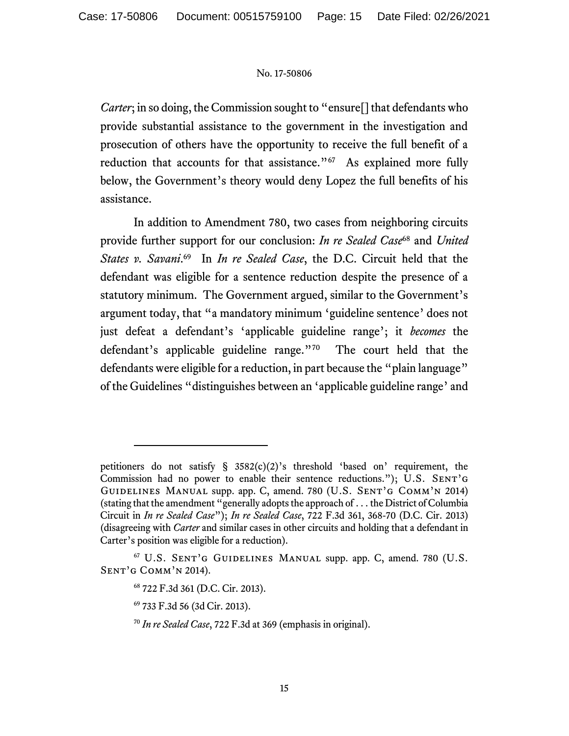*Carter*; in so doing, the Commission sought to "ensure<sup>[]</sup> that defendants who provide substantial assistance to the government in the investigation and prosecution of others have the opportunity to receive the full benefit of a reduction that accounts for that assistance."<sup>67</sup> As explained more fully below, the Government's theory would deny Lopez the full benefits of his assistance.

In addition to Amendment 780, two cases from neighboring circuits provide further support for our conclusion: *In re Sealed Case*<sup>68</sup> and *United*  States v. Savani.<sup>69</sup> In *In re Sealed Case*, the D.C. Circuit held that the defendant was eligible for a sentence reduction despite the presence of a statutory minimum. The Government argued, similar to the Government's argument today, that "a mandatory minimum 'guideline sentence' does not just defeat a defendant's 'applicable guideline range'; it *becomes* the defendant's applicable guideline range."<sup>70</sup> The court held that the defendants were eligible for a reduction, in part because the "plain language" of the Guidelines "distinguishes between an 'applicable guideline range' and

petitioners do not satisfy § 3582(c)(2)'s threshold 'based on' requirement, the Commission had no power to enable their sentence reductions."); U.S. SENT'G GUIDELINES MANUAL supp. app. C, amend. 780 (U.S. SENT'G COMM'N 2014) (stating that the amendment "generally adopts the approach of . . . the District of Columbia Circuit in *In re Sealed Case*"); *In re Sealed Case*, 722 F.3d 361, 368-70 (D.C. Cir. 2013) (disagreeing with *Carter* and similar cases in other circuits and holding that a defendant in Carter's position was eligible for a reduction).

<sup>67</sup> U.S. Sent'g Guidelines Manual supp. app. C, amend. 780 (U.S. Sent'g Comm'n 2014).

<sup>68</sup> 722 F.3d 361 (D.C. Cir. 2013).

<sup>69</sup> 733 F.3d 56 (3d Cir. 2013).

<sup>70</sup> *In re Sealed Case*, 722 F.3d at 369 (emphasis in original).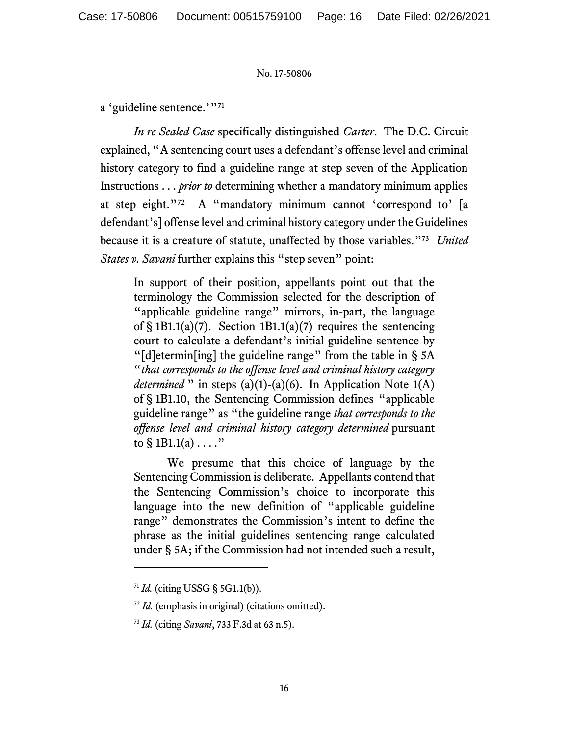a 'guideline sentence.'"<sup>71</sup>

*In re Sealed Case* specifically distinguished *Carter*. The D.C. Circuit explained, "A sentencing court uses a defendant's offense level and criminal history category to find a guideline range at step seven of the Application Instructions . . . *prior to* determining whether a mandatory minimum applies at step eight."<sup>72</sup> A "mandatory minimum cannot 'correspond to' [a defendant's] offense level and criminal history category under the Guidelines because it is a creature of statute, unaffected by those variables."<sup>73</sup> *United States v. Savani* further explains this "step seven" point:

In support of their position, appellants point out that the terminology the Commission selected for the description of "applicable guideline range" mirrors, in-part, the language of  $\S 1B1.1(a)(7)$ . Section 1B1.1(a)(7) requires the sentencing court to calculate a defendant's initial guideline sentence by "[d]etermin[ing] the guideline range" from the table in § 5A "*that corresponds to the offense level and criminal history category determined* " in steps (a)(1)-(a)(6). In Application Note 1(A) of § 1B1.10, the Sentencing Commission defines "applicable guideline range" as "the guideline range *that corresponds to the offense level and criminal history category determined* pursuant to  $\S$  1B1.1(a)  $\dots$ ."

We presume that this choice of language by the Sentencing Commission is deliberate. Appellants contend that the Sentencing Commission's choice to incorporate this language into the new definition of "applicable guideline range" demonstrates the Commission's intent to define the phrase as the initial guidelines sentencing range calculated under § 5A; if the Commission had not intended such a result,

<sup>71</sup> *Id.* (citing USSG § 5G1.1(b)).

<sup>72</sup> *Id.* (emphasis in original) (citations omitted).

<sup>73</sup> *Id.* (citing *Savani*, 733 F.3d at 63 n.5).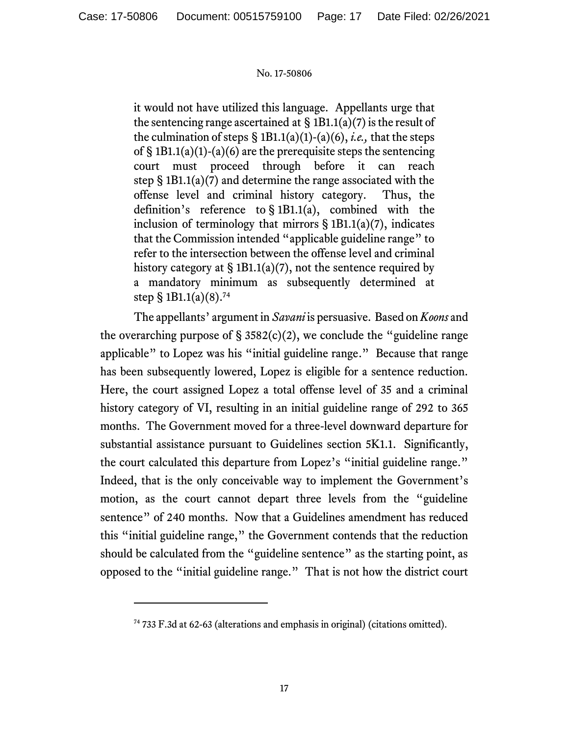it would not have utilized this language. Appellants urge that the sentencing range ascertained at  $\S$  1B1.1(a)(7) is the result of the culmination of steps § 1B1.1(a)(1)-(a)(6), *i.e.,* that the steps of  $\S 1B1.1(a)(1)-(a)(6)$  are the prerequisite steps the sentencing court must proceed through before it can reach step § 1B1.1(a)(7) and determine the range associated with the offense level and criminal history category. Thus, the definition's reference to § 1B1.1(a), combined with the inclusion of terminology that mirrors  $\S 1B1.1(a)(7)$ , indicates that the Commission intended "applicable guideline range" to refer to the intersection between the offense level and criminal history category at  $\S 1B1.1(a)(7)$ , not the sentence required by a mandatory minimum as subsequently determined at step § 1B1.1(a)(8). 74

The appellants' argument in *Savani* is persuasive. Based on *Koons* and the overarching purpose of  $\S$  3582(c)(2), we conclude the "guideline range applicable" to Lopez was his "initial guideline range." Because that range has been subsequently lowered, Lopez is eligible for a sentence reduction. Here, the court assigned Lopez a total offense level of 35 and a criminal history category of VI, resulting in an initial guideline range of 292 to 365 months. The Government moved for a three-level downward departure for substantial assistance pursuant to Guidelines section 5K1.1. Significantly, the court calculated this departure from Lopez's "initial guideline range." Indeed, that is the only conceivable way to implement the Government's motion, as the court cannot depart three levels from the "guideline sentence" of 240 months. Now that a Guidelines amendment has reduced this "initial guideline range," the Government contends that the reduction should be calculated from the "guideline sentence" as the starting point, as opposed to the "initial guideline range." That is not how the district court

<sup>74</sup> 733 F.3d at 62-63 (alterations and emphasis in original) (citations omitted).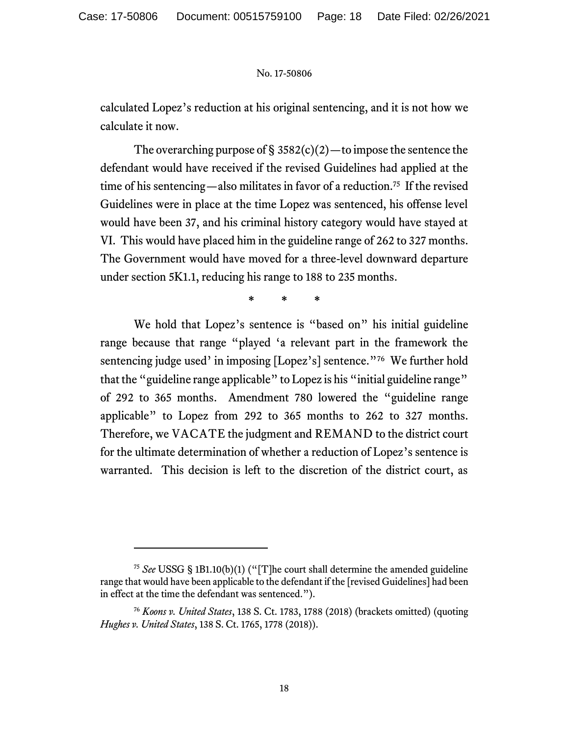calculated Lopez's reduction at his original sentencing, and it is not how we calculate it now.

The overarching purpose of  $\S 3582(c)(2)$ —to impose the sentence the defendant would have received if the revised Guidelines had applied at the time of his sentencing—also militates in favor of a reduction.<sup>75</sup> If the revised Guidelines were in place at the time Lopez was sentenced, his offense level would have been 37, and his criminal history category would have stayed at VI. This would have placed him in the guideline range of 262 to 327 months. The Government would have moved for a three-level downward departure under section 5K1.1, reducing his range to 188 to 235 months.

**\* \* \***

We hold that Lopez's sentence is "based on" his initial guideline range because that range "played 'a relevant part in the framework the sentencing judge used' in imposing [Lopez's] sentence."<sup>76</sup> We further hold that the "guideline range applicable" to Lopez is his "initial guideline range" of 292 to 365 months. Amendment 780 lowered the "guideline range applicable" to Lopez from 292 to 365 months to 262 to 327 months. Therefore, we VACATE the judgment and REMAND to the district court for the ultimate determination of whether a reduction of Lopez's sentence is warranted. This decision is left to the discretion of the district court, as

<sup>75</sup> *See* USSG § 1B1.10(b)(1) ("[T]he court shall determine the amended guideline range that would have been applicable to the defendant if the [revised Guidelines] had been in effect at the time the defendant was sentenced.").

<sup>76</sup> *Koons v. United States*, 138 S. Ct. 1783, 1788 (2018) (brackets omitted) (quoting *Hughes v. United States*, 138 S. Ct. 1765, 1778 (2018)).